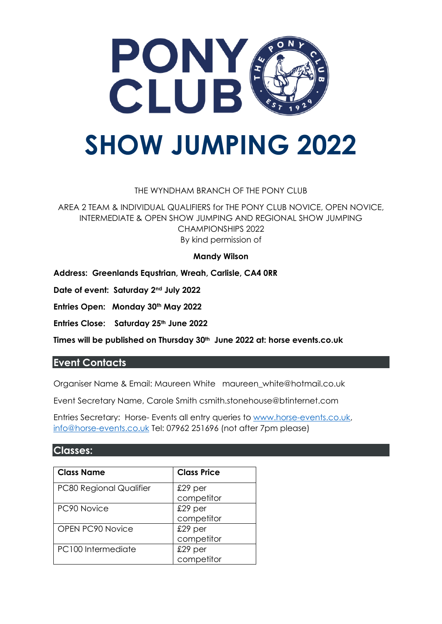

### THE WYNDHAM BRANCH OF THE PONY CLUB

AREA 2 TEAM & INDIVIDUAL QUALIFIERS for THE PONY CLUB NOVICE, OPEN NOVICE, INTERMEDIATE & OPEN SHOW JUMPING AND REGIONAL SHOW JUMPING CHAMPIONSHIPS 2022 By kind permission of

#### **Mandy Wilson**

**Address: Greenlands Equstrian, Wreah, Carlisle, CA4 0RR**

**Date of event: Saturday 2nd July 2022**

**Entries Open: Monday 30th May 2022**

**Entries Close: Saturday 25th June 2022**

**Times will be published on Thursday 30th June 2022 at: horse events.co.uk**

### **Event Contacts**

Organiser Name & Email: Maureen White maureen\_white@hotmail.co.uk

Event Secretary Name, Carole Smith csmith.stonehouse@btinternet.com

Entries Secretary: Horse- Events all entry queries to [www.horse-events.co.uk,](http://www.horse-events.co.uk/) [info@horse-events.co.uk](mailto:info@horse-events.co.uk) Tel: 07962 251696 (not after 7pm please)

### **Classes:**

| <b>Class Name</b>              | <b>Class Price</b> |
|--------------------------------|--------------------|
| <b>PC80 Regional Qualifier</b> | $£29$ per          |
|                                | competitor         |
| PC90 Novice                    | $£29$ per          |
|                                | competitor         |
| <b>OPEN PC90 Novice</b>        | $£29$ per          |
|                                | competitor         |
| PC100 Intermediate             | $£29$ per          |
|                                | competitor         |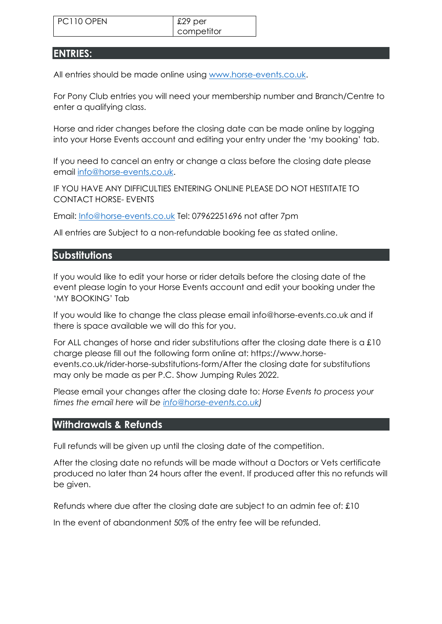competitor

## **ENTRIES:**

All entries should be made online using [www.horse-events.co.uk.](http://www.horse-events.co.uk/)

For Pony Club entries you will need your membership number and Branch/Centre to enter a qualifying class.

Horse and rider changes before the closing date can be made online by logging into your Horse Events account and editing your entry under the 'my booking' tab.

If you need to cancel an entry or change a class before the closing date please email [info@horse-events.co.uk.](mailto:info@horse-events.co.uk)

IF YOU HAVE ANY DIFFICULTIES ENTERING ONLINE PLEASE DO NOT HESTITATE TO CONTACT HORSE- EVENTS

Email: [Info@horse-events.co.uk](mailto:Info@horse-events.co.uk) Tel: 07962251696 not after 7pm

All entries are Subject to a non-refundable booking fee as stated online.

## **Substitutions**

If you would like to edit your horse or rider details before the closing date of the event please login to your Horse Events account and edit your booking under the 'MY BOOKING' Tab

If you would like to change the class please email info@horse-events.co.uk and if there is space available we will do this for you.

For ALL changes of horse and rider substitutions after the closing date there is a £10 charge please fill out the following form online at: https://www.horseevents.co.uk/rider-horse-substitutions-form/After the closing date for substitutions may only be made as per P.C. Show Jumping Rules 2022.

Please email your changes after the closing date to: *Horse Events to process your times the email here will be [info@horse-events.co.uk\)](mailto:info@horse-events.co.uk)*

## **Withdrawals & Refunds**

Full refunds will be given up until the closing date of the competition.

After the closing date no refunds will be made without a Doctors or Vets certificate produced no later than 24 hours after the event. If produced after this no refunds will be given.

Refunds where due after the closing date are subject to an admin fee of: £10

In the event of abandonment 50% of the entry fee will be refunded.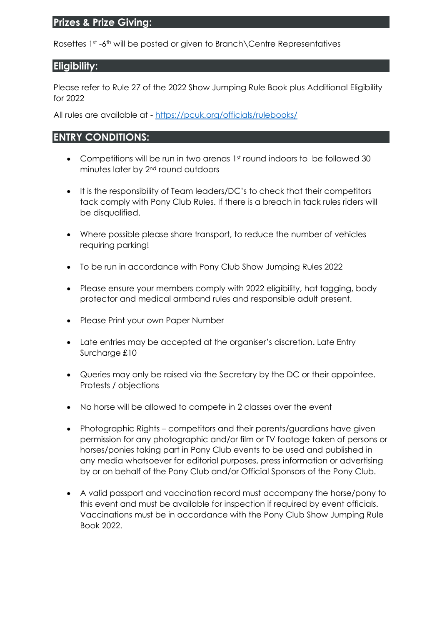# **Prizes & Prize Giving:**

Rosettes 1st -6th will be posted or given to Branch\Centre Representatives

## **Eligibility:**

Please refer to Rule 27 of the 2022 Show Jumping Rule Book plus Additional Eligibility for 2022

All rules are available at - <https://pcuk.org/officials/rulebooks/>

## **ENTRY CONDITIONS:**

- Competitions will be run in two arenas 1st round indoors to be followed 30 minutes later by 2nd round outdoors
- It is the responsibility of Team leaders/DC's to check that their competitors tack comply with Pony Club Rules. If there is a breach in tack rules riders will be disqualified.
- Where possible please share transport, to reduce the number of vehicles requiring parking!
- To be run in accordance with Pony Club Show Jumping Rules 2022
- Please ensure your members comply with 2022 eligibility, hat tagging, body protector and medical armband rules and responsible adult present.
- Please Print your own Paper Number
- Late entries may be accepted at the organiser's discretion. Late Entry Surcharge £10
- Queries may only be raised via the Secretary by the DC or their appointee. Protests / objections
- No horse will be allowed to compete in 2 classes over the event
- Photographic Rights competitors and their parents/guardians have given permission for any photographic and/or film or TV footage taken of persons or horses/ponies taking part in Pony Club events to be used and published in any media whatsoever for editorial purposes, press information or advertising by or on behalf of the Pony Club and/or Official Sponsors of the Pony Club.
- A valid passport and vaccination record must accompany the horse/pony to this event and must be available for inspection if required by event officials. Vaccinations must be in accordance with the Pony Club Show Jumping Rule Book 2022.